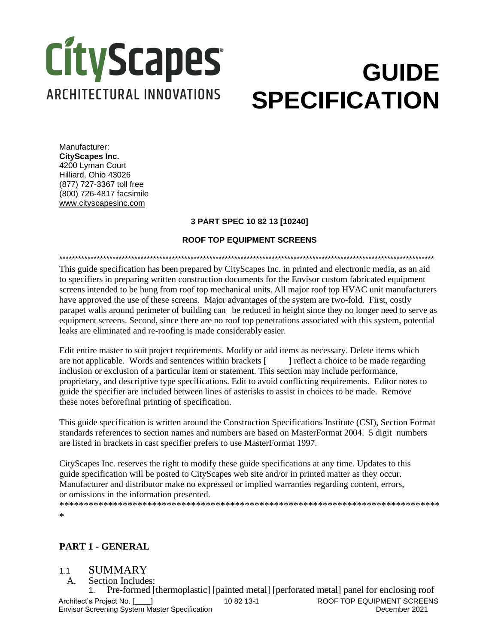# **CityScapes ARCHITECTURAL INNOVATIONS**

## **GUIDE SPECIFICATION**

Manufacturer: **CityScapes Inc.**  4200 Lyman Court Hilliard, Ohio 43026 (877) 727-3367 toll free (800) 726-4817 facsimile [www.cityscapesinc.com](http://www.cityscapesinc.com/)

#### **3 PART SPEC 10 82 13 [10240]**

#### **ROOF TOP EQUIPMENT SCREENS**

\*\*\*\*\*\*\*\*\*\*\*\*\*\*\*\*\*\*\*\*\*\*\*\*\*\*\*\*\*\*\*\*\*\*\*\*\*\*\*\*\*\*\*\*\*\*\*\*\*\*\*\*\*\*\*\*\*\*\*\*\*\*\*\*\*\*\*\*\*\*\*\*\*\*\*\*\*\*\*\*\*\*\*\*\*\*\*\*\*\*\*\*\*\*\*\*\*\*\*\*\*\*\*\*\*\*\*\*\*\*\*\*\*\*\*\*\*\*\*\* This guide specification has been prepared by CityScapes Inc. in printed and electronic media, as an aid to specifiers in preparing written construction documents for the Envisor custom fabricated equipment screens intended to be hung from roof top mechanical units. All major roof top HVAC unit manufacturers have approved the use of these screens. Major advantages of the system are two-fold. First, costly parapet walls around perimeter of building can be reduced in height since they no longer need to serve as equipment screens. Second, since there are no roof top penetrations associated with this system, potential leaks are eliminated and re-roofing is made considerably easier.

Edit entire master to suit project requirements. Modify or add items as necessary. Delete items which are not applicable. Words and sentences within brackets [10000] reflect a choice to be made regarding inclusion or exclusion of a particular item or statement. This section may include performance, proprietary, and descriptive type specifications. Edit to avoid conflicting requirements. Editor notes to guide the specifier are included between lines of asterisks to assist in choices to be made. Remove these notes beforefinal printing of specification.

This guide specification is written around the Construction Specifications Institute (CSI), Section Format standards references to section names and numbers are based on MasterFormat 2004. 5 digit numbers are listed in brackets in cast specifier prefers to use MasterFormat 1997.

CityScapes Inc. reserves the right to modify these guide specifications at any time. Updates to this guide specification will be posted to CityScapes web site and/or in printed matter as they occur. Manufacturer and distributor make no expressed or implied warranties regarding content, errors, or omissions in the information presented.

\*\*\*\*\*\*\*\*\*\*\*\*\*\*\*\*\*\*\*\*\*\*\*\*\*\*\*\*\*\*\*\*\*\*\*\*\*\*\*\*\*\*\*\*\*\*\*\*\*\*\*\*\*\*\*\*\*\*\*\*\*\*\*\*\*\*\*\*\*\*\*\*\*\*\*\*\*\* \*

### **PART 1 - GENERAL**

#### 1.1 SUMMARY

A. Section Includes:

Architect's Project No. [ ] Envisor Screening System Master Specification 10 82 13-1 ROOF TOP EQUIPMENT SCREENS December 2021 1. Pre-formed [thermoplastic] [painted metal] [perforated metal] panel for enclosing roof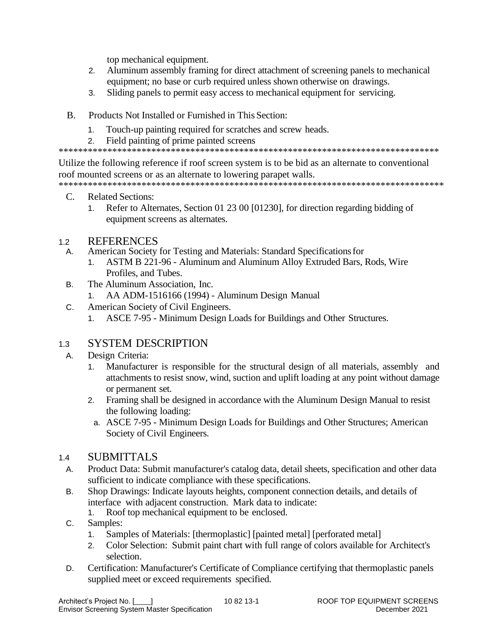top mechanical equipment.

- Aluminum assembly framing for direct attachment of screening panels to mechanical  $2.$ equipment; no base or curb required unless shown otherwise on drawings.
- Sliding panels to permit easy access to mechanical equipment for servicing. 3.
- $\mathbf{B}$ Products Not Installed or Furnished in This Section:
	- Touch-up painting required for scratches and screw heads.  $1.$
	- $\mathcal{P}$ Field painting of prime painted screens

Utilize the following reference if roof screen system is to be bid as an alternate to conventional roof mounted screens or as an alternate to lowering parapet walls.

 $C_{\cdot}$ **Related Sections:** 

Refer to Alternates, Section 01 23 00 [01230], for direction regarding bidding of  $1<sup>1</sup>$ equipment screens as alternates.

#### **REFERENCES**  $1.2$

- American Society for Testing and Materials: Standard Specifications for  $A_{1}$ 
	- $1<sup>1</sup>$ ASTM B 221-96 - Aluminum and Aluminum Alloy Extruded Bars, Rods, Wire Profiles, and Tubes.
- The Aluminum Association, Inc. **B.** 
	- AA ADM-1516166 (1994) Aluminum Design Manual  $1.$
- American Society of Civil Engineers.  $C_{1}$ 
	- ASCE 7-95 Minimum Design Loads for Buildings and Other Structures.  $1<sup>1</sup>$

#### **SYSTEM DESCRIPTION**  $1.3<sup>1</sup>$

- Design Criteria:  $A_{1}$ 
	- Manufacturer is responsible for the structural design of all materials, assembly and  $1<sup>1</sup>$ attachments to resist snow, wind, suction and uplift loading at any point without damage or permanent set.
	- Framing shall be designed in accordance with the Aluminum Design Manual to resist  $2.$ the following loading:
	- a. ASCE 7-95 Minimum Design Loads for Buildings and Other Structures; American Society of Civil Engineers.

#### **SUBMITTALS**  $1.4$

- $A_{1}$ Product Data: Submit manufacturer's catalog data, detail sheets, specification and other data sufficient to indicate compliance with these specifications.
- Shop Drawings: Indicate layouts heights, component connection details, and details of  $B<sub>1</sub>$ interface with adjacent construction. Mark data to indicate:
	- Roof top mechanical equipment to be enclosed.  $1.$
- $C_{1}$ Samples:
	- Samples of Materials: [thermoplastic] [painted metal] [perforated metal]  $1.$
	- Color Selection: Submit paint chart with full range of colors available for Architect's  $2.$ selection.
- Certification: Manufacturer's Certificate of Compliance certifying that thermoplastic panels D. supplied meet or exceed requirements specified.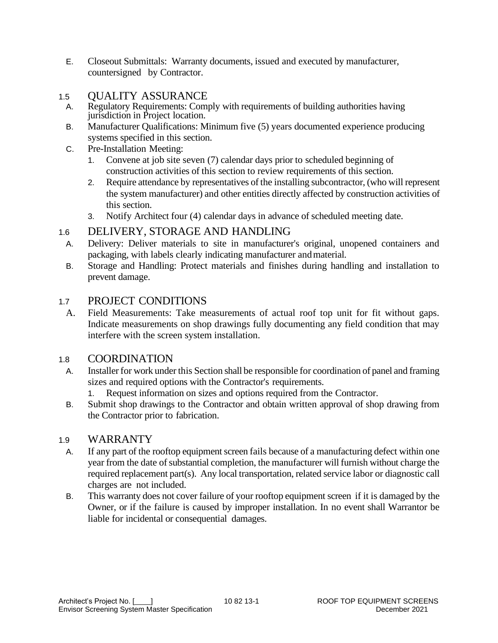- E. Closeout Submittals: Warranty documents, issued and executed by manufacturer, countersigned by Contractor.
- 1.5 QUALITY ASSURANCE
	- A. Regulatory Requirements: Comply with requirements of building authorities having jurisdiction in Project location.
	- B. Manufacturer Qualifications: Minimum five (5) years documented experience producing systems specified in this section.
	- C. Pre-Installation Meeting:
		- 1. Convene at job site seven (7) calendar days prior to scheduled beginning of construction activities of this section to review requirements of this section.
		- 2. Require attendance by representatives of the installing subcontractor, (who will represent the system manufacturer) and other entities directly affected by construction activities of this section.
		- 3. Notify Architect four (4) calendar days in advance of scheduled meeting date.

## 1.6 DELIVERY, STORAGE AND HANDLING

- A. Delivery: Deliver materials to site in manufacturer's original, unopened containers and packaging, with labels clearly indicating manufacturer andmaterial.
- B. Storage and Handling: Protect materials and finishes during handling and installation to prevent damage.

## 1.7 PROJECT CONDITIONS

A. Field Measurements: Take measurements of actual roof top unit for fit without gaps. Indicate measurements on shop drawings fully documenting any field condition that may interfere with the screen system installation.

### 1.8 COORDINATION

- A. Installer for work under this Section shall be responsible for coordination of panel and framing sizes and required options with the Contractor's requirements.
	- 1. Request information on sizes and options required from the Contractor.
- B. Submit shop drawings to the Contractor and obtain written approval of shop drawing from the Contractor prior to fabrication.

### 1.9 WARRANTY

- A. If any part of the rooftop equipment screen fails because of a manufacturing defect within one year from the date of substantial completion, the manufacturer will furnish without charge the required replacement part(s). Any local transportation, related service labor or diagnostic call charges are not included.
- B. This warranty does not cover failure of your rooftop equipment screen if it is damaged by the Owner, or if the failure is caused by improper installation. In no event shall Warrantor be liable for incidental or consequential damages.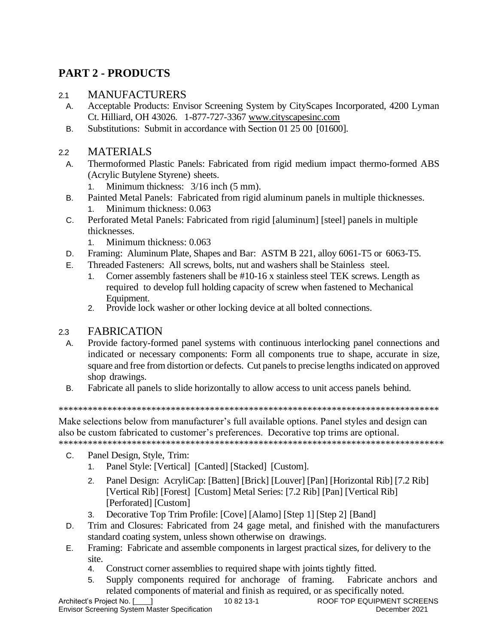## **PART 2 - PRODUCTS**

## 2.1 MANUFACTURERS

- A. Acceptable Products: Envisor Screening System by CityScapes Incorporated, 4200 Lyman Ct. Hilliard, OH 43026. 1-877-727-3367 [www.cityscapesinc.com](http://www.cityscapesinc.com/)
- B. Substitutions: Submit in accordance with Section 01 25 00 [01600].

## 2.2 MATERIALS

A. Thermoformed Plastic Panels: Fabricated from rigid medium impact thermo-formed ABS (Acrylic Butylene Styrene) sheets.

1. Minimum thickness: 3/16 inch (5 mm).

- B. Painted Metal Panels: Fabricated from rigid aluminum panels in multiple thicknesses.
	- 1. Minimum thickness: 0.063
- C. Perforated Metal Panels: Fabricated from rigid [aluminum] [steel] panels in multiple thicknesses.
	- 1. Minimum thickness: 0.063
- D. Framing: Aluminum Plate, Shapes and Bar: ASTM B 221, alloy 6061-T5 or 6063-T5.
- E. Threaded Fasteners: All screws, bolts, nut and washers shall be Stainless steel.
	- 1. Corner assembly fasteners shall be #10-16 x stainless steel TEK screws. Length as required to develop full holding capacity of screw when fastened to Mechanical Equipment.
	- 2. Provide lock washer or other locking device at all bolted connections.

## 2.3 FABRICATION

- A. Provide factory-formed panel systems with continuous interlocking panel connections and indicated or necessary components: Form all components true to shape, accurate in size, square and free from distortion or defects. Cut panels to precise lengths indicated on approved shop drawings.
- B. Fabricate all panels to slide horizontally to allow access to unit access panels behind.

\*\*\*\*\*\*\*\*\*\*\*\*\*\*\*\*\*\*\*\*\*\*\*\*\*\*\*\*\*\*\*\*\*\*\*\*\*\*\*\*\*\*\*\*\*\*\*\*\*\*\*\*\*\*\*\*\*\*\*\*\*\*\*\*\*\*\*\*\*\*\*\*\*\*\*\*\*\*

Make selections below from manufacturer's full available options. Panel styles and design can also be custom fabricated to customer's preferences. Decorative top trims are optional. \*\*\*\*\*\*\*\*\*\*\*\*\*\*\*\*\*\*\*\*\*\*\*\*\*\*\*\*\*\*\*\*\*\*\*\*\*\*\*\*\*\*\*\*\*\*\*\*\*\*\*\*\*\*\*\*\*\*\*\*\*\*\*\*\*\*\*\*\*\*\*\*\*\*\*\*\*\*\*

- C. Panel Design, Style, Trim:
	- 1. Panel Style: [Vertical] [Canted] [Stacked] [Custom].
	- 2. Panel Design: AcryliCap: [Batten] [Brick] [Louver] [Pan] [Horizontal Rib] [7.2 Rib] [Vertical Rib] [Forest] [Custom] Metal Series: [7.2 Rib] [Pan] [Vertical Rib] [Perforated] [Custom]
	- 3. Decorative Top Trim Profile: [Cove] [Alamo] [Step 1] [Step 2] [Band]
- D. Trim and Closures: Fabricated from 24 gage metal, and finished with the manufacturers standard coating system, unless shown otherwise on drawings.
- E. Framing: Fabricate and assemble components in largest practical sizes, for delivery to the site.
	- 4. Construct corner assemblies to required shape with joints tightly fitted.
	- 5. Supply components required for anchorage of framing. Fabricate anchors and related components of material and finish as required, or as specifically noted.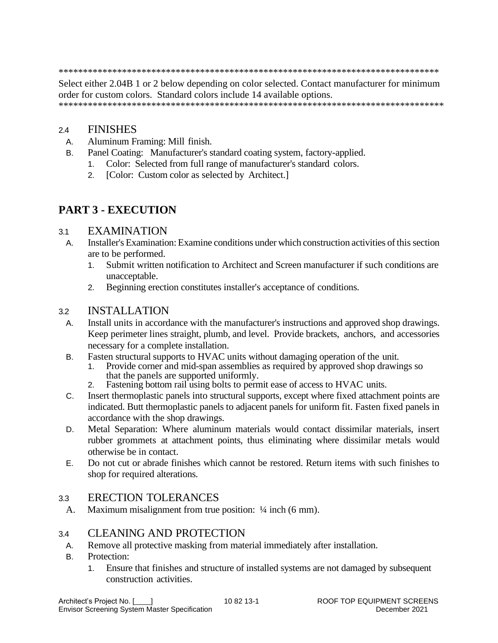Select either 2.04B 1 or 2 below depending on color selected. Contact manufacturer for minimum order for custom colors. Standard colors include 14 available options. 

#### **FINISHES**  $2.4$

 $B<sub>1</sub>$ 

- Aluminum Framing: Mill finish. A.
	- Panel Coating: Manufacturer's standard coating system, factory-applied.
		- Color: Selected from full range of manufacturer's standard colors.  $1<sub>1</sub>$
		- [Color: Custom color as selected by Architect.]  $2.$

## **PART 3 - EXECUTION**

#### **EXAMINATION**  $3.1$

- Installer's Examination: Examine conditions under which construction activities of this section  $A_{1}$ are to be performed.
	- $1<sup>1</sup>$ Submit written notification to Architect and Screen manufacturer if such conditions are unacceptable.
	- Beginning erection constitutes installer's acceptance of conditions.  $2<sup>1</sup>$

#### **INSTALLATION**  $3.2$

- Install units in accordance with the manufacturer's instructions and approved shop drawings.  $A_{1}$ Keep perimeter lines straight, plumb, and level. Provide brackets, anchors, and accessories necessary for a complete installation.
- $B<sub>1</sub>$ Fasten structural supports to HVAC units without damaging operation of the unit.
	- Provide corner and mid-span assemblies as required by approved shop drawings so  $1.$ that the panels are supported uniformly.
	- Fastening bottom rail using bolts to permit ease of access to HVAC units.  $2.$
- Insert thermoplastic panels into structural supports, except where fixed attachment points are  $C_{1}$ indicated. Butt thermoplastic panels to adjacent panels for uniform fit. Fasten fixed panels in accordance with the shop drawings.
- Metal Separation: Where aluminum materials would contact dissimilar materials, insert D. rubber grommets at attachment points, thus eliminating where dissimilar metals would otherwise be in contact.
- $F$ Do not cut or abrade finishes which cannot be restored. Return items with such finishes to shop for required alterations.

#### **ERECTION TOLERANCES**  $3.3$

A. Maximum misalignment from true position:  $\frac{1}{4}$  inch (6 mm).

#### **CLEANING AND PROTECTION**  $3.4$

- Remove all protective masking from material immediately after installation. A.
- Protection:  $\mathsf{B}$ 
	- Ensure that finishes and structure of installed systems are not damaged by subsequent  $1.$ construction activities.